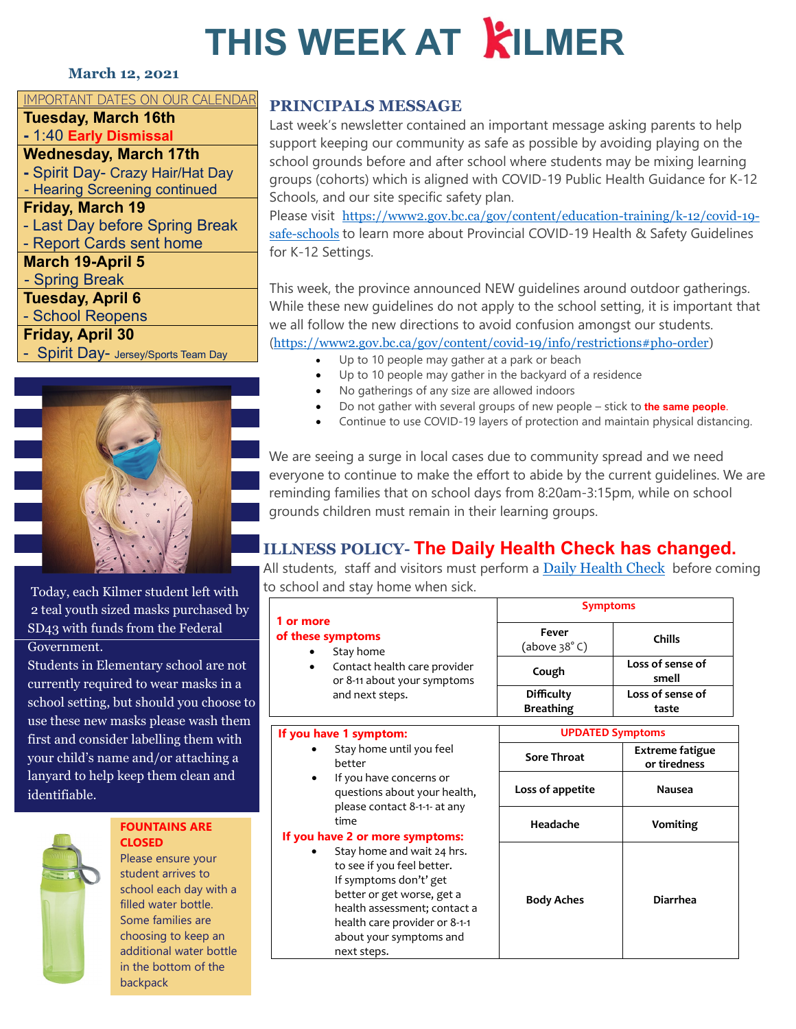# **THIS WEEK AT KILMER**

#### **March 12, 2021**

#### IMPORTANT DATES ON OUR CALENDAR

**Tuesday, March 16th**

**-** 1:40 **Early Dismissal**

**Wednesday, March 17th**

**-** Spirit Day- Crazy Hair/Hat Day - Hearing Screening continued

**Friday, March 19**

- Last Day before Spring Break

- Report Cards sent home

**March 19-April 5**

- Spring Break

**Tuesday, April 6**

- School Reopens

#### **Friday, April 30**

- Spirit Day- Jersey/Sports Team Day



Today, each Kilmer student left with 2 teal youth sized masks purchased by SD43 with funds from the Federal Government.

Students in Elementary school are not currently required to wear masks in a school setting, but should you choose to use these new masks please wash them first and consider labelling them with your child's name and/or attaching a lanyard to help keep them clean and identifiable.



#### **OUR WATER FOUNTAINS ARE CLOSED**

Please ensure your student arrives to school each day with a filled water bottle. Some families are choosing to keep an additional water bottle in the bottom of the backpack

### **PRINCIPALS MESSAGE**

Last week's newsletter contained an important message asking parents to help support keeping our community as safe as possible by avoiding playing on the school grounds before and after school where students may be mixing learning groups (cohorts) which is aligned with COVID-19 Public Health Guidance for K-12 Schools, and our site specific safety plan.

Please visit [https://www2.gov.bc.ca/gov/content/education-training/k-12/covid-19](https://www2.gov.bc.ca/gov/content/education-training/k-12/covid-19-safe-schools) [safe-schools](https://www2.gov.bc.ca/gov/content/education-training/k-12/covid-19-safe-schools) to learn more about Provincial COVID-19 Health & Safety Guidelines [for K-12 Settings.](https://www2.gov.bc.ca/assets/gov/education/administration/kindergarten-to-grade-12/safe-caring-orderly/k-12-covid-19-health-safety-guidlines.pdf)

This week, the province announced NEW guidelines around outdoor gatherings. While these new guidelines do not apply to the school setting, it is important that we all follow the new directions to avoid confusion amongst our students. ([https://www2.gov.bc.ca/gov/content/covid-19/info/restrictions#pho-order\)](https://www2.gov.bc.ca/gov/content/covid-19/info/restrictions#pho-order)

- Up to 10 people may gather at a park or beach
- Up to 10 people may gather in the backyard of a residence
- No gatherings of any size are allowed indoors
- Do not gather with several groups of new people stick to **the same people**.
- Continue to use COVID-19 layers of protection and maintain physical distancing.

We are seeing a surge in local cases due to community spread and we need everyone to continue to make the effort to abide by the current guidelines. We are reminding families that on school days from 8:20am-3:15pm, while on school grounds children must remain in their learning groups.

## **ILLNESS POLICY- The Daily Health Check has changed.**

All students, staff and visitors must perform a [Daily Health Check](https://www.sd43.bc.ca/school/kilmer/Documents/2021-02-18Daily%20Health%20Check%20-%20Students.pdf) before coming to school and stay home when sick.

|                                                                                                                              | <b>Symptoms</b>                       |                           |
|------------------------------------------------------------------------------------------------------------------------------|---------------------------------------|---------------------------|
| 1 or more<br>of these symptoms<br>Stay home<br>٠<br>Contact health care provider<br>$\bullet$<br>or 8-11 about your symptoms | Fever<br>(above 38°C)                 | <b>Chills</b>             |
|                                                                                                                              | Cough                                 | Loss of sense of<br>smell |
| and next steps.                                                                                                              | <b>Difficulty</b><br><b>Breathing</b> | Loss of sense of<br>taste |

| If you have 1 symptom:                                                                                                                                                                                                                   |                    | <b>UPDATED Symptoms</b>                |  |
|------------------------------------------------------------------------------------------------------------------------------------------------------------------------------------------------------------------------------------------|--------------------|----------------------------------------|--|
| Stay home until you feel<br>٠<br>better                                                                                                                                                                                                  | <b>Sore Throat</b> | <b>Extreme fatigue</b><br>or tiredness |  |
| If you have concerns or<br>$\bullet$<br>questions about your health,<br>please contact 8-1-1- at any                                                                                                                                     | Loss of appetite   | Nausea                                 |  |
| time<br>If you have 2 or more symptoms:                                                                                                                                                                                                  | Headache           | Vomiting                               |  |
| Stay home and wait 24 hrs.<br>$\bullet$<br>to see if you feel better.<br>If symptoms don't' get<br>better or get worse, get a<br>health assessment; contact a<br>health care provider or 8-1-1<br>about your symptoms and<br>next steps. | <b>Body Aches</b>  | <b>Diarrhea</b>                        |  |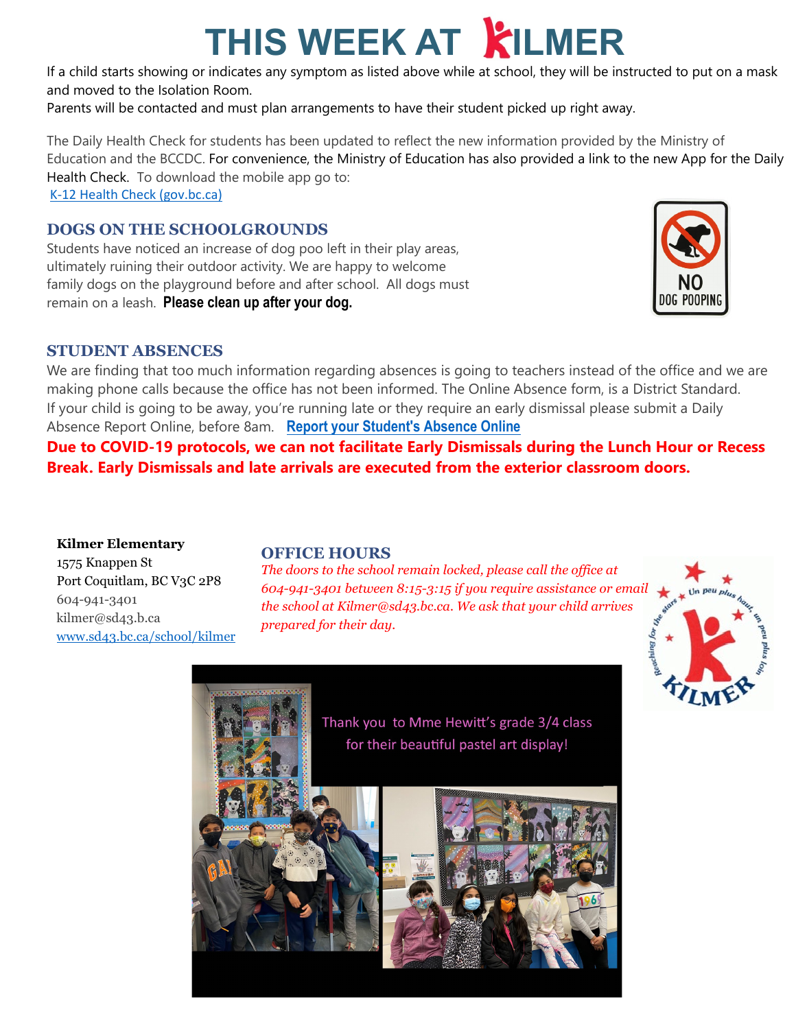# **THIS WEEK AT KILMER**

If a child starts showing or indicates any symptom as listed above while at school, they will be instructed to put on a mask and moved to the Isolation Room.

Parents will be contacted and must plan arrangements to have their student picked up right away.

The Daily Health Check for students has been updated to reflect the new information provided by the Ministry of Education and the BCCDC. For convenience, the Ministry of Education has also provided a link to the new App for the Daily Health Check. To download the mobile app go to: [K-12 Health Check \(gov.bc.ca\)](https://www.k12dailycheck.gov.bc.ca/mobile?lang=en)

### **DOGS ON THE SCHOOLGROUNDS**

Students have noticed an increase of dog poo left in their play areas, ultimately ruining their outdoor activity. We are happy to welcome family dogs on the playground before and after school. All dogs must remain on a leash. **Please clean up after your dog.**



#### **STUDENT ABSENCES**

We are finding that too much information regarding absences is going to teachers instead of the office and we are making phone calls because the office has not been informed. The Online Absence form, is a District Standard. If your child is going to be away, you're running late or they require an early dismissal please submit a Daily Absence Report Online, before 8am. **[Report your Student's Absence Online](https://www2016.sd43.bc.ca/eforms/_layouts/15/FormServer.aspx?XsnLocation=http://www2016.sd43.bc.ca/eforms/AbsenceReportForm/Forms/template.xsn&OpenIn=browser&SaveLocation=http://www2016.sd43.bc.ca/eforms/AbsenceReportForm&Source=http://www2016.sd43.bc.ca/eforms/AbsenceReportForm)**

**Due to COVID-19 protocols, we can not facilitate Early Dismissals during the Lunch Hour or Recess Break. Early Dismissals and late arrivals are executed from the exterior classroom doors.**

**Kilmer Elementary** 1575 Knappen St Port Coquitlam, BC V3C 2P8 604-941-3401 kilmer@sd43.b.ca [www.sd43.bc.ca/school/kilmer](http://www.sd43.bc.ca/school/kilmer)

#### **OFFICE HOURS**

*The doors to the school remain locked, please call the office at 604-941-3401 between 8:15-3:15 if you require assistance or email the school at Kilmer@sd43.bc.ca. We ask that your child arrives prepared for their day.*